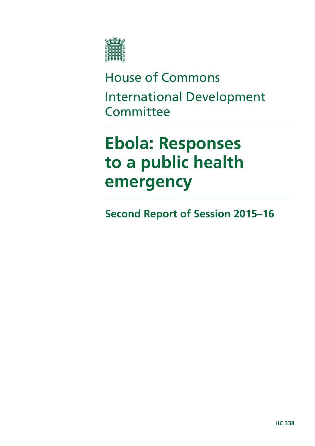

# House of Commons International Development **Committee**

# **Ebola: Responses to a public health emergency**

**Second Report of Session 2015–16**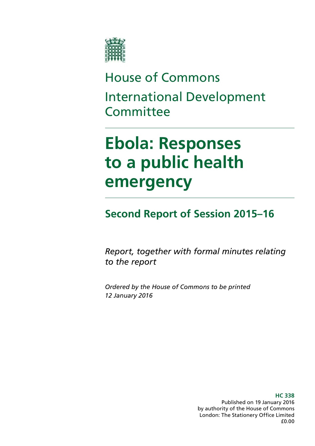

# House of Commons International Development **Committee**

# **Ebola: Responses to a public health emergency**

## **Second Report of Session 2015–16**

*Report, together with formal minutes relating to the report* 

*Ordered by the House of Commons to be printed 12 January 2016* 

> **HC 338**  Published on 19 January 2016 by authority of the House of Commons London: The Stationery Office Limited £0.00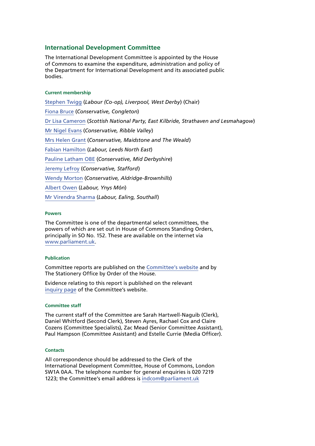#### **International Development Committee**

The International Development Committee is appointed by the House of Commons to examine the expenditure, administration and policy of the Department for International Development and its associated public bodies.

#### **Current membership**

[Stephen Twigg](http://www.parliament.uk/biographies/commons/stephen-twigg/167) (*Labour (Co-op), Liverpool, West Derby*) (Chair) [Fiona Bruce](http://www.parliament.uk/biographies/commons/fiona-bruce/3958) (*Conservative, Congleton*) [Dr Lisa Cameron](http://www.parliament.uk/biographies/commons/dr-lisa-cameron/4412) (*Scottish National Party, East Kilbride, Strathaven and Lesmahagow*) [Mr Nigel Evans](http://www.parliament.uk/biographies/commons/mr-nigel-evans/474) (*Conservative, Ribble Valley*) [Mrs Helen Grant](http://www.parliament.uk/biographies/commons/mrs-helen-grant/4018) (*Conservative, Maidstone and The Weald*) [Fabian Hamilton](http://www.parliament.uk/biographies/commons/fabian-hamilton/415) (*Labour, Leeds North East*) [Pauline Latham](http://www.parliament.uk/biographies/commons/pauline-latham/4025) OBE (*Conservative, Mid Derbyshire*) [Jeremy Lefroy](http://www.parliament.uk/biographies/commons/jeremy-lefroy/4109) (*Conservative, Stafford*) [Wendy Morton](http://www.parliament.uk/biographies/commons/wendy-morton/4358) (*Conservative, Aldridge-Brownhills*) [Albert Owen](http://www.parliament.uk/biographies/commons/albert-owen/1474) (*Labour, Ynys Môn*) [Mr Virendra Sharma](http://www.parliament.uk/biographies/commons/mr-virendra-sharma/1604) (*Labour, Ealing, Southall*)

#### **Powers**

The Committee is one of the departmental select committees, the powers of which are set out in House of Commons Standing Orders, principally in SO No. 152. These are available on the internet via [www.parliament.uk](http://www.parliament.uk).

#### **Publication**

Committee reports are published on the [Committee's website](http://www.parliament.uk/business/committees/committees-a-z/commons-select/international-development-committee/) and by The Stationery Office by Order of the House.

Evidence relating to this report is published on the relevant [inquiry page](http://www.parliament.uk/business/committees/committees-a-z/commons-select/international-development-committee/inquiries/parliament-2015/follow-up-to-the-responses-to-the-ebola-crisis/) of the Committee's website.

#### **Committee staff**

The current staff of the Committee are Sarah Hartwell-Naguib (Clerk), Daniel Whitford (Second Clerk), Steven Ayres, Rachael Cox and Claire Cozens (Committee Specialists), Zac Mead (Senior Committee Assistant), Paul Hampson (Committee Assistant) and Estelle Currie (Media Officer).

#### **Contacts**

All correspondence should be addressed to the Clerk of the International Development Committee, House of Commons, London SW1A 0AA. The telephone number for general enquiries is 020 7219 1223; the Committee's email address is [indcom@parliament.uk](mailto:indcom@parliament.uk)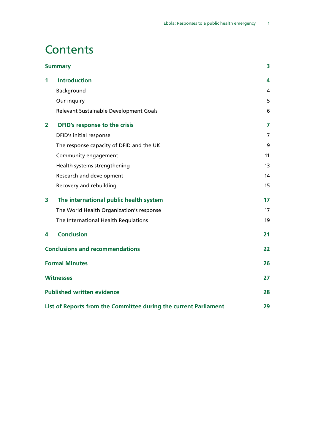## **Contents**

| <b>Summary</b>                         |                                                                  |    |
|----------------------------------------|------------------------------------------------------------------|----|
| 1                                      | <b>Introduction</b>                                              | 4  |
|                                        | Background                                                       | 4  |
|                                        | Our inquiry                                                      | 5  |
|                                        | Relevant Sustainable Development Goals                           | 6  |
| $\overline{\mathbf{2}}$                | DFID's response to the crisis                                    | 7  |
|                                        | DFID's initial response                                          | 7  |
|                                        | The response capacity of DFID and the UK                         | 9  |
|                                        | Community engagement                                             | 11 |
|                                        | Health systems strengthening                                     | 13 |
|                                        | Research and development                                         | 14 |
|                                        | Recovery and rebuilding                                          | 15 |
| 3                                      | The international public health system                           | 17 |
|                                        | The World Health Organization's response                         | 17 |
|                                        | The International Health Regulations                             | 19 |
| 4                                      | <b>Conclusion</b>                                                | 21 |
| <b>Conclusions and recommendations</b> |                                                                  | 22 |
| <b>Formal Minutes</b>                  |                                                                  | 26 |
| <b>Witnesses</b>                       |                                                                  |    |
| <b>Published written evidence</b>      |                                                                  | 28 |
|                                        | List of Reports from the Committee during the current Parliament | 29 |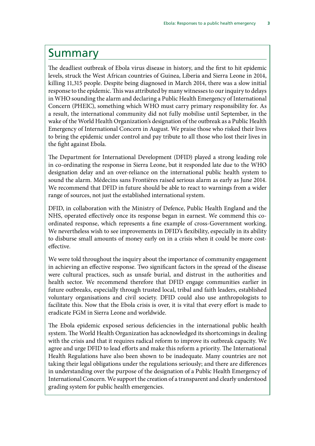### <span id="page-6-0"></span>Summary

The deadliest outbreak of Ebola virus disease in history, and the first to hit epidemic levels, struck the West African countries of Guinea, Liberia and Sierra Leone in 2014, killing 11,315 people. Despite being diagnosed in March 2014, there was a slow initial response to the epidemic. This was attributed by many witnesses to our inquiry to delays in WHO sounding the alarm and declaring a Public Health Emergency of International Concern (PHEIC), something which WHO must carry primary responsibility for. As a result, the international community did not fully mobilise until September, in the wake of the World Health Organization's designation of the outbreak as a Public Health Emergency of International Concern in August. We praise those who risked their lives to bring the epidemic under control and pay tribute to all those who lost their lives in the fight against Ebola.

The Department for International Development (DFID) played a strong leading role in co-ordinating the response in Sierra Leone, but it responded late due to the WHO designation delay and an over-reliance on the international public health system to sound the alarm. Médecins sans Frontières raised serious alarm as early as June 2014. We recommend that DFID in future should be able to react to warnings from a wider range of sources, not just the established international system.

DFID, in collaboration with the Ministry of Defence, Public Health England and the NHS, operated effectively once its response began in earnest. We commend this coordinated response, which represents a fine example of cross-Government working. We nevertheless wish to see improvements in DFID's flexibility, especially in its ability to disburse small amounts of money early on in a crisis when it could be more costeffective.

We were told throughout the inquiry about the importance of community engagement in achieving an effective response. Two significant factors in the spread of the disease were cultural practices, such as unsafe burial, and distrust in the authorities and health sector. We recommend therefore that DFID engage communities earlier in future outbreaks, especially through trusted local, tribal and faith leaders, established voluntary organisations and civil society. DFID could also use anthropologists to facilitate this. Now that the Ebola crisis is over, it is vital that every effort is made to eradicate FGM in Sierra Leone and worldwide.

The Ebola epidemic exposed serious deficiencies in the international public health system. The World Health Organization has acknowledged its shortcomings in dealing with the crisis and that it requires radical reform to improve its outbreak capacity. We agree and urge DFID to lead efforts and make this reform a priority. The International Health Regulations have also been shown to be inadequate. Many countries are not taking their legal obligations under the regulations seriously; and there are differences in understanding over the purpose of the designation of a Public Health Emergency of International Concern. We support the creation of a transparent and clearly understood grading system for public health emergencies.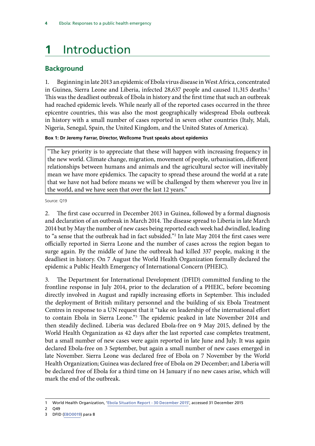# <span id="page-7-0"></span>**1** Introduction

#### **Background**

1. Beginning in late 2013 an epidemic of Ebola virus disease in West Africa, concentrated in Guinea, Sierra Leone and Liberia, infected 28,637 people and caused 11,315 deaths.<sup>1</sup> This was the deadliest outbreak of Ebola in history and the first time that such an outbreak had reached epidemic levels. While nearly all of the reported cases occurred in the three epicentre countries, this was also the most geographically widespread Ebola outbreak in history with a small number of cases reported in seven other countries (Italy, Mali, Nigeria, Senegal, Spain, the United Kingdom, and the United States of America).

**Box 1: Dr Jeremy Farrar, Director, Wellcome Trust speaks about epidemics** 

"The key priority is to appreciate that these will happen with increasing frequency in the new world. Climate change, migration, movement of people, urbanisation, different relationships between humans and animals and the agricultural sector will inevitably mean we have more epidemics. The capacity to spread these around the world at a rate that we have not had before means we will be challenged by them wherever you live in the world, and we have seen that over the last 12 years."

Source: Q19

2. The first case occurred in December 2013 in Guinea, followed by a formal diagnosis and declaration of an outbreak in March 2014. The disease spread to Liberia in late March 2014 but by May the number of new cases being reported each week had dwindled, leading to "a sense that the outbreak had in fact subsided."2 In late May 2014 the first cases were officially reported in Sierra Leone and the number of cases across the region began to surge again. By the middle of June the outbreak had killed 337 people, making it the deadliest in history. On 7 August the World Health Organization formally declared the epidemic a Public Health Emergency of International Concern (PHEIC).

3. The Department for International Development (DFID) committed funding to the frontline response in July 2014, prior to the declaration of a PHEIC, before becoming directly involved in August and rapidly increasing efforts in September. This included the deployment of British military personnel and the building of six Ebola Treatment Centres in response to a UN request that it "take on leadership of the international effort to contain Ebola in Sierra Leone."3 The epidemic peaked in late November 2014 and then steadily declined. Liberia was declared Ebola-free on 9 May 2015, defined by the World Health Organization as 42 days after the last reported case completes treatment, but a small number of new cases were again reported in late June and July. It was again declared Ebola-free on 3 September, but again a small number of new cases emerged in late November. Sierra Leone was declared free of Ebola on 7 November by the World Health Organization; Guinea was declared free of Ebola on 29 December; and Liberia will be declared free of Ebola for a third time on 14 January if no new cases arise, which will mark the end of the outbreak.

<sup>1</sup> World Health Organization, '[Ebola Situation Report - 30 December 2015](http://apps.who.int/ebola/current-situation/ebola-situation-report-30-december-2015)', accessed 31 December 2015

<sup>2</sup> Q49

<sup>3</sup> DFID ([EBO0019\)](http://data.parliament.uk/writtenevidence/committeeevidence.svc/evidencedocument/international-development-committee/ebola-responses-to-a-public-health-emergency/written/21667.pdf) para 8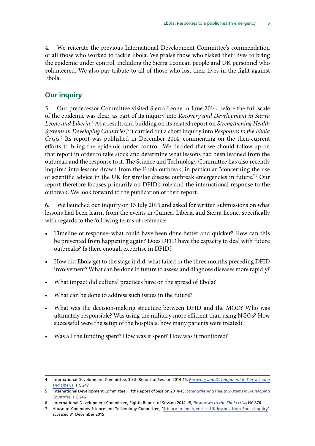<span id="page-8-0"></span>4. We reiterate the previous International Development Committee's commendation of all those who worked to tackle Ebola. We praise those who risked their lives to bring the epidemic under control, including the Sierra Leonean people and UK personnel who volunteered. We also pay tribute to all of those who lost their lives in the fight against Ebola.

#### **Our inquiry**

5. Our predecessor Committee visited Sierra Leone in June 2014, before the full scale of the epidemic was clear, as part of its inquiry into *Recovery and Development in Sierra Leone and Liberia.*4 As a result, and building on its related report on *Strengthening Health*  Systems in Developing Countries,<sup>5</sup> it carried out a short inquiry into *Responses to the Ebola Crisis*. 6 Its report was published in December 2014, commenting on the then-current efforts to bring the epidemic under control. We decided that we should follow-up on that report in order to take stock and determine what lessons had been learned from the outbreak and the response to it. The Science and Technology Committee has also recently inquired into lessons drawn from the Ebola outbreak, in particular "concerning the use of scientific advice in the UK for similar disease outbreak emergencies in future."7 Our report therefore focuses primarily on DFID's role and the international response to the outbreak. We look forward to the publication of their report.

6. We launched our inquiry on 13 July 2015 and asked for written submissions on what lessons had been learnt from the events in Guinea, Liberia and Sierra Leone, specifically with regards to the following terms of reference:

- Timeline of response–what could have been done better and quicker? How can this be prevented from happening again? Does DFID have the capacity to deal with future outbreaks? Is there enough expertise in DFID?
- How did Ebola get to the stage it did, what failed in the three months preceding DFID involvement? What can be done in future to assess and diagnose diseases more rapidly?
- What impact did cultural practices have on the spread of Ebola?
- What can be done to address such issues in the future?
- • What was the decision-making structure between DFID and the MOD? Who was ultimately responsible? Was using the military more efficient than using NGOs? How successful were the setup of the hospitals, how many patients were treated?
- Was all the funding spent? How was it spent? How was it monitored?

<sup>4</sup> International Development Committee, Sixth Report of Session 2014-15, *[Recovery and Development in Sierra Leone](http://www.publications.parliament.uk/pa/cm201415/cmselect/cmintdev/247/247.pdf) [and Liberia](http://www.publications.parliament.uk/pa/cm201415/cmselect/cmintdev/247/247.pdf)*, HC 247

<sup>5</sup> International Development Committee, Fifth Report of Session 2014-15, *[Strengthening Health Systems in Developing](http://www.publications.parliament.uk/pa/cm201415/cmselect/cmintdev/246/246.pdf) [Countries](http://www.publications.parliament.uk/pa/cm201415/cmselect/cmintdev/246/246.pdf)*, HC 246

<sup>6</sup> International Development Committee, Eighth Report of Session 2014-15, *[Responses to the Ebola crisis](http://www.publications.parliament.uk/pa/cm201415/cmselect/cmintdev/876/876.pdf)*, HC 876

<sup>7</sup> House of Commons Science and Technology Committee, '[Science in emergencies: UK lessons from Ebola inquiry](http://www.parliament.uk/business/committees/committees-a-z/commons-select/science-and-technology-committee/inquiries/parliament-2015/science-in-emergencies/)', accessed 31 December 2015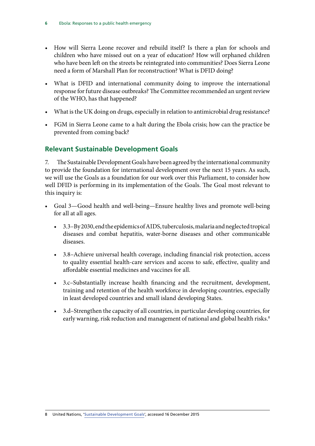- <span id="page-9-0"></span>• How will Sierra Leone recover and rebuild itself? Is there a plan for schools and children who have missed out on a year of education? How will orphaned children who have been left on the streets be reintegrated into communities? Does Sierra Leone need a form of Marshall Plan for reconstruction? What is DFID doing?
- • What is DFID and international community doing to improve the international response for future disease outbreaks? The Committee recommended an urgent review of the WHO, has that happened?
- What is the UK doing on drugs, especially in relation to antimicrobial drug resistance?
- FGM in Sierra Leone came to a halt during the Ebola crisis; how can the practice be prevented from coming back?

#### **Relevant Sustainable Development Goals**

7. The Sustainable Development Goals have been agreed by the international community to provide the foundation for international development over the next 15 years. As such, we will use the Goals as a foundation for our work over this Parliament, to consider how well DFID is performing in its implementation of the Goals. The Goal most relevant to this inquiry is:

- Goal 3—Good health and well-being—Ensure healthy lives and promote well-being for all at all ages.
	- • 3.3–By 2030, end the epidemics of AIDS, tuberculosis, malaria and neglected tropical diseases and combat hepatitis, water-borne diseases and other communicable diseases.
	- 3.8–Achieve universal health coverage, including financial risk protection, access to quality essential health-care services and access to safe, effective, quality and affordable essential medicines and vaccines for all.
	- • 3.c–Substantially increase health financing and the recruitment, development, training and retention of the health workforce in developing countries, especially in least developed countries and small island developing States.
	- 3.d–Strengthen the capacity of all countries, in particular developing countries, for early warning, risk reduction and management of national and global health risks.<sup>8</sup>

<sup>8</sup> United Nations, '[Sustainable Development Goals](https://sustainabledevelopment.un.org/?menu=1300)', accessed 16 December 2015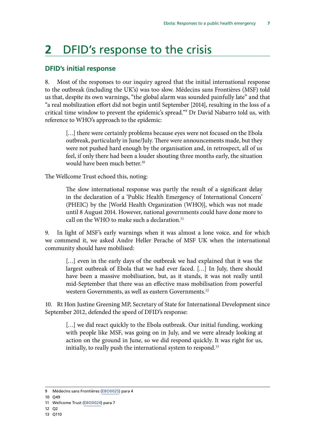## <span id="page-10-0"></span>**2** DFID's response to the crisis

#### **DFID's initial response**

8. Most of the responses to our inquiry agreed that the initial international response to the outbreak (including the UK's) was too slow. Médecins sans Frontières (MSF) told us that, despite its own warnings, "the global alarm was sounded painfully late" and that "a real mobilization effort did not begin until September [2014], resulting in the loss of a critical time window to prevent the epidemic's spread."9 Dr David Nabarro told us, with reference to WHO's approach to the epidemic:

[...] there were certainly problems because eyes were not focused on the Ebola outbreak, particularly in June/July. There were announcements made, but they were not pushed hard enough by the organisation and, in retrospect, all of us feel, if only there had been a louder shouting three months early, the situation would have been much better.<sup>10</sup>

The Wellcome Trust echoed this, noting:

The slow international response was partly the result of a significant delay in the declaration of a 'Public Health Emergency of International Concern' (PHEIC) by the [World Health Organization (WHO)], which was not made until 8 August 2014. However, national governments could have done more to call on the WHO to make such a declaration.<sup>11</sup>

9. In light of MSF's early warnings when it was almost a lone voice, and for which we commend it, we asked Andre Heller Perache of MSF UK when the international community should have mobilised:

[...] even in the early days of the outbreak we had explained that it was the largest outbreak of Ebola that we had ever faced. […] In July, there should have been a massive mobilisation, but, as it stands, it was not really until mid-September that there was an effective mass mobilisation from powerful western Governments, as well as eastern Governments.12

10. Rt Hon Justine Greening MP, Secretary of State for International Development since September 2012, defended the speed of DFID's response:

[...] we did react quickly to the Ebola outbreak. Our initial funding, working with people like MSF, was going on in July, and we were already looking at action on the ground in June, so we did respond quickly. It was right for us, initially, to really push the international system to respond.<sup>13</sup>

<sup>9</sup> Médecins sans Frontières ([EBO0025\)](http://data.parliament.uk/writtenevidence/committeeevidence.svc/evidencedocument/international-development-committee/ebola-responses-to-a-public-health-emergency/written/23409.pdf) para 4

<sup>10</sup> Q49

<sup>11</sup> Wellcome Trust ([EBO0024\)](http://data.parliament.uk/writtenevidence/committeeevidence.svc/evidencedocument/international-development-committee/ebola-responses-to-a-public-health-emergency/written/22898.pdf) para 7

<sup>12</sup> Q2

<sup>13</sup> Q110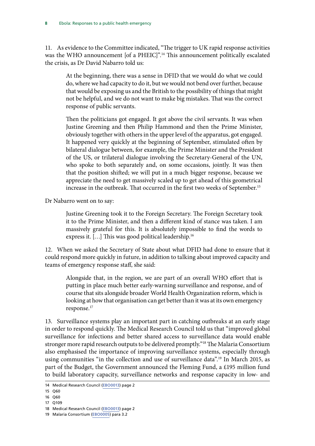11. As evidence to the Committee indicated, "The trigger to UK rapid response activities was the WHO announcement [of a PHEIC]".<sup>14</sup> This announcement politically escalated the crisis, as Dr David Nabarro told us:

At the beginning, there was a sense in DFID that we would do what we could do, where we had capacity to do it, but we would not bend over further, because that would be exposing us and the British to the possibility of things that might not be helpful, and we do not want to make big mistakes. That was the correct response of public servants.

Then the politicians got engaged. It got above the civil servants. It was when Justine Greening and then Philip Hammond and then the Prime Minister, obviously together with others in the upper level of the apparatus, got engaged. It happened very quickly at the beginning of September, stimulated often by bilateral dialogue between, for example, the Prime Minister and the President of the US, or trilateral dialogue involving the Secretary-General of the UN, who spoke to both separately and, on some occasions, jointly. It was then that the position shifted; we will put in a much bigger response, because we appreciate the need to get massively scaled up to get ahead of this geometrical increase in the outbreak. That occurred in the first two weeks of September.<sup>15</sup>

Dr Nabarro went on to say:

Justine Greening took it to the Foreign Secretary. The Foreign Secretary took it to the Prime Minister, and then a different kind of stance was taken. I am massively grateful for this. It is absolutely impossible to find the words to express it. [...] This was good political leadership.<sup>16</sup>

12. When we asked the Secretary of State about what DFID had done to ensure that it could respond more quickly in future, in addition to talking about improved capacity and teams of emergency response staff, she said:

Alongside that, in the region, we are part of an overall WHO effort that is putting in place much better early-warning surveillance and response, and of course that sits alongside broader World Health Organization reform, which is looking at how that organisation can get better than it was at its own emergency response.17

13. Surveillance systems play an important part in catching outbreaks at an early stage in order to respond quickly. The Medical Research Council told us that "improved global surveillance for infections and better shared access to surveillance data would enable stronger more rapid research outputs to be delivered promptly."<sup>18</sup> The Malaria Consortium also emphasised the importance of improving surveillance systems, especially through using communities "in the collection and use of surveillance data".<sup>19</sup> In March 2015, as part of the Budget, the Government announced the Fleming Fund, a £195 million fund to build laboratory capacity, surveillance networks and response capacity in low- and

<sup>14</sup> Medical Research Council [\(EBO0013\)](http://data.parliament.uk/writtenevidence/committeeevidence.svc/evidencedocument/international-development-committee/ebola-responses-to-a-public-health-emergency/written/21649.pdf) page 2

<sup>15</sup> Q60

<sup>16</sup> Q60

<sup>17</sup> Q109

<sup>18</sup> Medical Research Council [\(EBO0013\)](http://data.parliament.uk/writtenevidence/committeeevidence.svc/evidencedocument/international-development-committee/ebola-responses-to-a-public-health-emergency/written/21649.pdf) page 2

<sup>19</sup> Malaria Consortium ([EBO0005](http://data.parliament.uk/writtenevidence/committeeevidence.svc/evidencedocument/international-development-committee/ebola-responses-to-a-public-health-emergency/written/21585.pdf)) para 3.2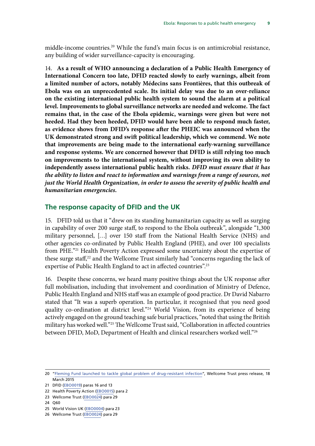<span id="page-12-0"></span>middle-income countries.<sup>20</sup> While the fund's main focus is on antimicrobial resistance, any building of wider surveillance-capacity is encouraging.

14. **As a result of WHO announcing a declaration of a Public Health Emergency of International Concern too late, DFID reacted slowly to early warnings, albeit from a limited number of actors, notably Médecins sans Frontières, that this outbreak of Ebola was on an unprecedented scale. Its initial delay was due to an over-reliance on the existing international public health system to sound the alarm at a political level. Improvements to global surveillance networks are needed and welcome. The fact remains that, in the case of the Ebola epidemic, warnings were given but were not heeded. Had they been heeded, DFID would have been able to respond much faster, as evidence shows from DFID's response after the PHEIC was announced when the UK demonstrated strong and swift political leadership, which we commend. We note that improvements are being made to the international early-warning surveillance and response systems. We are concerned however that DFID is still relying too much on improvements to the international system, without improving its own ability to independently assess international public health risks.** *DFID must ensure that it has the ability to listen and react to information and warnings from a range of sources, not just the World Health Organization, in order to assess the severity of public health and humanitarian emergencies.* 

#### **The response capacity of DFID and the UK**

15. DFID told us that it "drew on its standing humanitarian capacity as well as surging in capability of over 200 surge staff, to respond to the Ebola outbreak", alongside "1,300 military personnel, […] over 150 staff from the National Health Service (NHS) and other agencies co-ordinated by Public Health England (PHE), and over 100 specialists from PHE."21 Health Poverty Action expressed some uncertainty about the expertise of these surge staff, $22$  and the Wellcome Trust similarly had "concerns regarding the lack of expertise of Public Health England to act in affected countries".<sup>23</sup>

16. Despite these concerns, we heard many positive things about the UK response after full mobilisation, including that involvement and coordination of Ministry of Defence, Public Health England and NHS staff was an example of good practice. Dr David Nabarro stated that "It was a superb operation. In particular, it recognised that you need good quality co-ordination at district level."<sup>24</sup> World Vision, from its experience of being actively engaged on the ground teaching safe burial practices, "noted that using the British military has worked well."25 The Wellcome Trust said, "Collaboration in affected countries between DFID, MoD, Department of Health and clinical researchers worked well."26

<sup>20</sup> ["Fleming Fund launched to tackle global problem of drug-resistant infection](http://www.wellcome.ac.uk/News/Media-office/Press-releases/2015/WTP058933.htm)", Wellcome Trust press release, 18 March 2015

<sup>21</sup> DFID ([EBO0019\)](http://data.parliament.uk/writtenevidence/committeeevidence.svc/evidencedocument/international-development-committee/ebola-responses-to-a-public-health-emergency/written/21667.pdf) paras 16 and 13

<sup>22</sup> Health Poverty Action ([EBO0015](http://data.parliament.uk/writtenevidence/committeeevidence.svc/evidencedocument/international-development-committee/ebola-responses-to-a-public-health-emergency/written/21652.pdf)) para 2

<sup>23</sup> Wellcome Trust ([EBO0024\)](http://data.parliament.uk/writtenevidence/committeeevidence.svc/evidencedocument/international-development-committee/ebola-responses-to-a-public-health-emergency/written/22898.pdf) para 29

<sup>24</sup> Q60

<sup>25</sup> World Vision UK [\(EBO0004\)](http://data.parliament.uk/writtenevidence/committeeevidence.svc/evidencedocument/international-development-committee/ebola-responses-to-a-public-health-emergency/written/21582.pdf) para 23

<sup>26</sup> Wellcome Trust ([EBO0024\)](http://data.parliament.uk/writtenevidence/committeeevidence.svc/evidencedocument/international-development-committee/ebola-responses-to-a-public-health-emergency/written/22898.pdf) para 29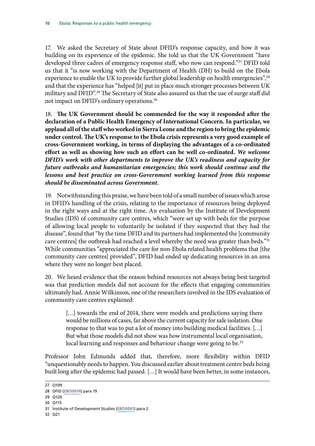17. We asked the Secretary of State about DFID's response capacity, and how it was building on its experience of the epidemic. She told us that the UK Government "have developed three cadres of emergency response staff, who now can respond."27 DFID told us that it "is now working with the Department of Health (DH) to build on the Ebola experience to enable the UK to provide further global leadership on health emergencies",<sup>28</sup> and that the experience has "helped [it] put in place much stronger processes between UK military and DFID".<sup>29</sup> The Secretary of State also assured us that the use of surge staff did not impact on DFID's ordinary operations.<sup>30</sup>

18. **The UK Government should be commended for the way it responded after the declaration of a Public Health Emergency of International Concern. In particular, we applaud all of the staff who worked in Sierra Leone and the region to bring the epidemic under control. The UK's response to the Ebola crisis represents a very good example of cross-Government working, in terms of displaying the advantages of a co-ordinated effort as well as showing how such an effort can be well co-ordinated.** *We welcome DFID's work with other departments to improve the UK's readiness and capacity for future outbreaks and humanitarian emergencies; this work should continue and the lessons and best practice on cross-Government working learned from this response should be disseminated across Government.* 

19. Notwithstanding this praise, we have been told of a small number of issues which arose in DFID's handling of the crisis, relating to the importance of resources being deployed in the right ways and at the right time. An evaluation by the Institute of Development Studies (IDS) of community care centres, which "were set up with beds for the purpose of allowing local people to voluntarily be isolated if they suspected that they had the disease", found that "by the time DFID and its partners had implemented the [community care centres] the outbreak had reached a level whereby the need was greater than beds."<sup>31</sup> While communities "appreciated the care for non-Ebola related health problems that [the community care centres] provided", DFID had ended up dedicating resources in an area where they were no longer best placed.

20. We heard evidence that the reason behind resources not always being best targeted was that prediction models did not account for the effects that engaging communities ultimately had. Annie Wilkinson, one of the researchers involved in the IDS evaluation of community care centres explained:

[...] towards the end of 2014, there were models and predictions saying there would be millions of cases, far above the current capacity for safe isolation. One response to that was to put a lot of money into building medical facilities. […] But what those models did not show was how instrumental local organisation, local learning and responses and behaviour change were going to be.<sup>32</sup>

Professor John Edmunds added that, therefore, more flexibility within DFID "unquestionably needs to happen. You discussed earlier about treatment centre beds being built long after the epidemic had passed. […] It would have been better, in some instances,

- 29 Q120
- 30 Q115

32 Q21

<sup>27</sup> Q109

<sup>28</sup> DFID ([EBO0019\)](http://data.parliament.uk/writtenevidence/committeeevidence.svc/evidencedocument/international-development-committee/ebola-responses-to-a-public-health-emergency/written/21667.pdf) para 19

<sup>31</sup> Institute of Development Studies ([EBO0001](http://data.parliament.uk/writtenevidence/committeeevidence.svc/evidencedocument/international-development-committee/ebola-responses-to-a-public-health-emergency/written/21202.pdf)) para 2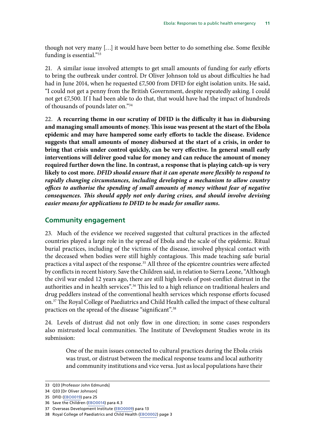<span id="page-14-0"></span>though not very many […] it would have been better to do something else. Some flexible funding is essential."33

21. A similar issue involved attempts to get small amounts of funding for early efforts to bring the outbreak under control. Dr Oliver Johnson told us about difficulties he had had in June 2014, when he requested £7,500 from DFID for eight isolation units. He said, "I could not get a penny from the British Government, despite repeatedly asking. I could not get £7,500. If I had been able to do that, that would have had the impact of hundreds of thousands of pounds later on."34

22. **A recurring theme in our scrutiny of DFID is the difficulty it has in disbursing and managing small amounts of money. This issue was present at the start of the Ebola epidemic and may have hampered some early efforts to tackle the disease. Evidence suggests that small amounts of money disbursed at the start of a crisis, in order to bring that crisis under control quickly, can be very effective. In general small early interventions will deliver good value for money and can reduce the amount of money required further down the line. In contrast, a response that is playing catch-up is very likely to cost more.** *DFID should ensure that it can operate more flexibly to respond to rapidly changing circumstances, including developing a mechanism to allow country offices to authorise the spending of small amounts of money without fear of negative consequences. This should apply not only during crises, and should involve devising easier means for applications to DFID to be made for smaller sums.* 

#### **Community engagement**

23. Much of the evidence we received suggested that cultural practices in the affected countries played a large role in the spread of Ebola and the scale of the epidemic. Ritual burial practices, including of the victims of the disease, involved physical contact with the deceased when bodies were still highly contagious. This made teaching safe burial practices a vital aspect of the response.35 All three of the epicentre countries were affected by conflicts in recent history. Save the Children said, in relation to Sierra Leone, "Although the civil war ended 12 years ago, there are still high levels of post-conflict distrust in the authorities and in health services".36 This led to a high reliance on traditional healers and drug peddlers instead of the conventional health services which response efforts focused on.37 The Royal College of Paediatrics and Child Health called the impact of these cultural practices on the spread of the disease "significant".38

24. Levels of distrust did not only flow in one direction; in some cases responders also mistrusted local communities. The Institute of Development Studies wrote in its submission:

One of the main issues connected to cultural practices during the Ebola crisis was trust, or distrust between the medical response teams and local authority and community institutions and vice versa. Just as local populations have their

<sup>33</sup> Q33 [Professor John Edmunds]

<sup>34</sup> Q33 [Dr Oliver Johnson]

<sup>35</sup> DFID ([EBO0019\)](http://data.parliament.uk/writtenevidence/committeeevidence.svc/evidencedocument/international-development-committee/ebola-responses-to-a-public-health-emergency/written/21667.pdf) para 25

<sup>36</sup> Save the Children [\(EBO0014\)](http://data.parliament.uk/writtenevidence/committeeevidence.svc/evidencedocument/international-development-committee/ebola-responses-to-a-public-health-emergency/written/21650.pdf) para 4.3

<sup>37</sup> Overseas Development Institute [\(EBO0009\)](http://data.parliament.uk/writtenevidence/committeeevidence.svc/evidencedocument/international-development-committee/ebola-responses-to-a-public-health-emergency/written/21613.pdf) para 13

<sup>38</sup> Royal College of Paediatrics and Child Health [\(EBO0002\)](http://data.parliament.uk/writtenevidence/committeeevidence.svc/evidencedocument/international-development-committee/ebola-responses-to-a-public-health-emergency/written/21494.pdf) page 3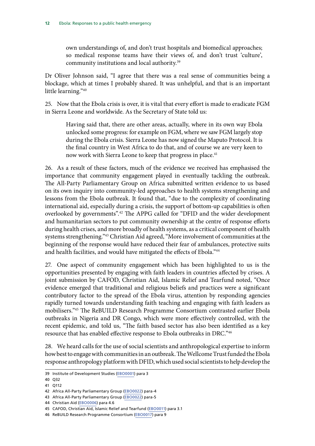own understandings of, and don't trust hospitals and biomedical approaches; so medical response teams have their views of, and don't trust 'culture', community institutions and local authority.39

Dr Oliver Johnson said, "I agree that there was a real sense of communities being a blockage, which at times I probably shared. It was unhelpful, and that is an important little learning."40

25. Now that the Ebola crisis is over, it is vital that every effort is made to eradicate FGM in Sierra Leone and worldwide. As the Secretary of State told us:

Having said that, there are other areas, actually, where in its own way Ebola unlocked some progress: for example on FGM, where we saw FGM largely stop during the Ebola crisis. Sierra Leone has now signed the Maputo Protocol. It is the final country in West Africa to do that, and of course we are very keen to now work with Sierra Leone to keep that progress in place.<sup>41</sup>

26. As a result of these factors, much of the evidence we received has emphasised the importance that community engagement played in eventually tackling the outbreak. The All-Party Parliamentary Group on Africa submitted written evidence to us based on its own inquiry into community-led approaches to health systems strengthening and lessons from the Ebola outbreak. It found that, "due to the complexity of coordinating international aid, especially during a crisis, the support of bottom-up capabilities is often overlooked by governments".<sup>42</sup> The APPG called for "DFID and the wider development and humanitarian sectors to put community ownership at the centre of response efforts during health crises, and more broadly of health systems, as a critical component of health systems strengthening."43 Christian Aid agreed, "More involvement of communities at the beginning of the response would have reduced their fear of ambulances, protective suits and health facilities, and would have mitigated the effects of Ebola."44

27. One aspect of community engagement which has been highlighted to us is the opportunities presented by engaging with faith leaders in countries affected by crises. A joint submission by CAFOD, Christian Aid, Islamic Relief and Tearfund noted, "Once evidence emerged that traditional and religious beliefs and practices were a significant contributory factor to the spread of the Ebola virus, attention by responding agencies rapidly turned towards understanding faith teaching and engaging with faith leaders as mobilisers."45 The ReBUILD Research Programme Consortium contrasted earlier Ebola outbreaks in Nigeria and DR Congo, which were more effectively controlled, with the recent epidemic, and told us, "The faith based sector has also been identified as a key resource that has enabled effective response to Ebola outbreaks in DRC."46

28. We heard calls for the use of social scientists and anthropological expertise to inform how best to engage with communities in an outbreak. The Wellcome Trust funded the Ebola response anthropology platform with DFID, which used social scientists to help develop the

<sup>39</sup> Institute of Development Studies ([EBO0001](http://data.parliament.uk/writtenevidence/committeeevidence.svc/evidencedocument/international-development-committee/ebola-responses-to-a-public-health-emergency/written/21202.pdf)) para 3

<sup>40</sup> Q32

<sup>41</sup> Q112

<sup>42</sup> Africa All-Party Parliamentary Group [\(EBO0022\)](http://data.parliament.uk/writtenevidence/committeeevidence.svc/evidencedocument/international-development-committee/ebola-responses-to-a-public-health-emergency/written/21838.pdf) para-4

<sup>43</sup> Africa All-Party Parliamentary Group [\(EBO0022\)](http://data.parliament.uk/writtenevidence/committeeevidence.svc/evidencedocument/international-development-committee/ebola-responses-to-a-public-health-emergency/written/21838.pdf) para-5

<sup>44</sup> Christian Aid ([EBO0006\)](http://data.parliament.uk/writtenevidence/committeeevidence.svc/evidencedocument/international-development-committee/ebola-responses-to-a-public-health-emergency/written/21608.pdf) para 4.6

<sup>45</sup> CAFOD, Christian Aid, Islamic Relief and Tearfund [\(EBO0011](http://data.parliament.uk/writtenevidence/committeeevidence.svc/evidencedocument/international-development-committee/ebola-responses-to-a-public-health-emergency/written/21633.pdf)) para 3.1

<sup>46</sup> ReBUILD Research Programme Consortium ([EBO0017\)](http://data.parliament.uk/writtenevidence/committeeevidence.svc/evidencedocument/international-development-committee/ebola-responses-to-a-public-health-emergency/written/21657.pdf) para 9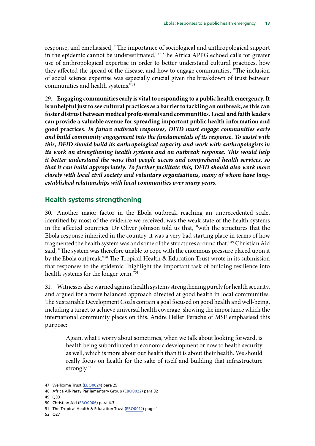<span id="page-16-0"></span>response, and emphasised, "The importance of sociological and anthropological support in the epidemic cannot be underestimated."47 The Africa APPG echoed calls for greater use of anthropological expertise in order to better understand cultural practices, how they affected the spread of the disease, and how to engage communities, "The inclusion of social science expertise was especially crucial given the breakdown of trust between communities and health systems."48

29. **Engaging communities early is vital to responding to a public health emergency. It is unhelpful just to see cultural practices as a barrier to tackling an outbreak, as this can foster distrust between medical professionals and communities. Local and faith leaders can provide a valuable avenue for spreading important public health information and good practices.** *In future outbreak responses, DFID must engage communities early and build community engagement into the fundamentals of its response. To assist with this, DFID should build its anthropological capacity and work with anthropologists in its work on strengthening health systems and on outbreak response. This would help it better understand the ways that people access and comprehend health services, so that it can build appropriately. To further facilitate this, DFID should also work more closely with local civil society and voluntary organisations, many of whom have longestablished relationships with local communities over many years.* 

#### **Health systems strengthening**

30. Another major factor in the Ebola outbreak reaching an unprecedented scale, identified by most of the evidence we received, was the weak state of the health systems in the affected countries. Dr Oliver Johnson told us that, "with the structures that the Ebola response inherited in the country, it was a very bad starting place in terms of how fragmented the health system was and some of the structures around that."49 Christian Aid said, "The system was therefore unable to cope with the enormous pressure placed upon it by the Ebola outbreak."50 The Tropical Health & Education Trust wrote in its submission that responses to the epidemic "highlight the important task of building resilience into health systems for the longer term."51

31. Witnesses also warned against health systems strengthening purely for health security, and argued for a more balanced approach directed at good health in local communities. The Sustainable Development Goals contain a goal focused on good health and well-being, including a target to achieve universal health coverage, showing the importance which the international community places on this. Andre Heller Perache of MSF emphasised this purpose:

Again, what I worry about sometimes, when we talk about looking forward, is health being subordinated to economic development or now to health security as well, which is more about our health than it is about their health. We should really focus on health for the sake of itself and building that infrastructure strongly.<sup>52</sup>

50 Christian Aid ([EBO0006\)](http://data.parliament.uk/writtenevidence/committeeevidence.svc/evidencedocument/international-development-committee/ebola-responses-to-a-public-health-emergency/written/21608.pdf) para 4.3

52 Q27

<sup>47</sup> Wellcome Trust ([EBO0024\)](http://data.parliament.uk/writtenevidence/committeeevidence.svc/evidencedocument/international-development-committee/ebola-responses-to-a-public-health-emergency/written/22898.pdf) para 25

<sup>48</sup> Africa All-Party Parliamentary Group [\(EBO0022\)](http://data.parliament.uk/writtenevidence/committeeevidence.svc/evidencedocument/international-development-committee/ebola-responses-to-a-public-health-emergency/written/21838.pdf) para 32

 49 Q33

<sup>51</sup> The Tropical Health & Education Trust [\(EBO0012\)](http://data.parliament.uk/writtenevidence/committeeevidence.svc/evidencedocument/international-development-committee/ebola-responses-to-a-public-health-emergency/written/21634.pdf) page 1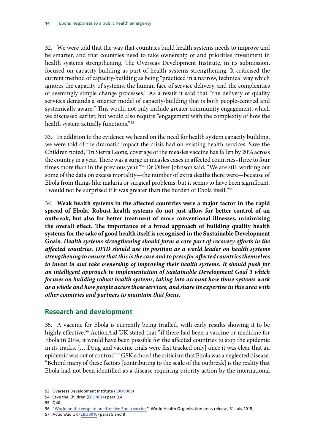<span id="page-17-0"></span>32. We were told that the way that countries build health systems needs to improve and be smarter, and that countries need to take ownership of and prioritise investment in health systems strengthening. The Overseas Development Institute, in its submission, focused on capacity-building as part of health systems strengthening. It criticised the current method of capacity-building as being "practiced in a narrow, technical way which ignores the capacity of systems, the human face of service delivery, and the complexities of seemingly simple change processes." As a result it said that "the delivery of quality services demands a smarter model of capacity-building that is both people-centred and systemically aware." This would not only include greater community engagement, which we discussed earlier, but would also require "engagement with the complexity of how the health system actually functions."53

33. In addition to the evidence we heard on the need for health system capacity building, we were told of the dramatic impact the crisis had on existing health services. Save the Children noted, "In Sierra Leone, coverage of the measles vaccine has fallen by 20% across the country in a year. There was a surge in measles cases in affected countries–three to four times more than in the previous year."54 Dr Oliver Johnson said, "We are still working out some of the data on excess mortality—the number of extra deaths there were—because of Ebola from things like malaria or surgical problems, but it seems to have been significant. I would not be surprised if it was greater than the burden of Ebola itself."55

34. **Weak health systems in the affected countries were a major factor in the rapid spread of Ebola. Robust health systems do not just allow for better control of an outbreak, but also for better treatment of more conventional illnesses, minimising the overall effect. The importance of a broad approach of building quality health systems for the sake of good health itself is recognised in the Sustainable Development Goals.** *Health systems strengthening should form a core part of recovery efforts in the affected countries. DFID should use its position as a world leader on health systems strengthening to ensure that this is the case and to press for affected countries themselves to invest in and take ownership of improving their health systems. It should push for an intelligent approach to implementation of Sustainable Development Goal 3 which focuses on building robust health systems, taking into account how those systems work as a whole and how people access those services, and share its expertise in this area with other countries and partners to maintain that focus.* 

#### **Research and development**

35. A vaccine for Ebola is currently being trialled, with early results showing it to be highly effective.<sup>56</sup> ActionAid UK stated that "if there had been a vaccine or medicine for Ebola in 2014, it would have been possible for the affected countries to stop the epidemic in its tracks. [… Drug and vaccine trials were fast tracked only] once it was clear that an epidemic was out of control."57 GSK echoed the criticism that Ebola was a neglected disease: "Behind many of these factors [contributing to the scale of the outbreak] is the reality that Ebola had not been identified as a disease requiring priority action by the international

57 ActionAid UK ([EBO0010](http://data.parliament.uk/writtenevidence/committeeevidence.svc/evidencedocument/international-development-committee/ebola-responses-to-a-public-health-emergency/written/21630.pdf)) paras 5 and 8

<sup>53</sup> Overseas Development Institute [\(EBO0009\)](http://data.parliament.uk/writtenevidence/committeeevidence.svc/evidencedocument/international-development-committee/ebola-responses-to-a-public-health-emergency/written/21613.pdf)

<sup>54</sup> Save the Children [\(EBO0014\)](http://data.parliament.uk/writtenevidence/committeeevidence.svc/evidencedocument/international-development-committee/ebola-responses-to-a-public-health-emergency/written/21650.pdf) para 3.4

<sup>55</sup> Q40

<sup>56 &</sup>quot;[World on the verge of an effective Ebola vaccine](http://www.who.int/mediacentre/news/releases/2015/effective-ebola-vaccine/en/)", World Health Organization press release, 31 July 2015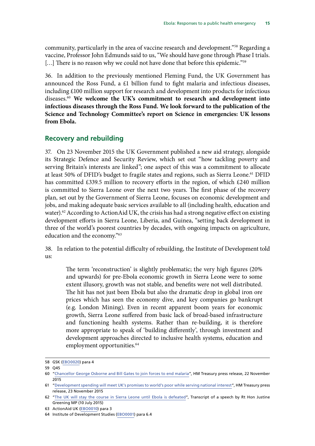<span id="page-18-0"></span>community, particularly in the area of vaccine research and development."58 Regarding a vaccine, Professor John Edmunds said to us, "We should have gone through Phase I trials. [...] There is no reason why we could not have done that before this epidemic."<sup>59</sup>

36. In addition to the previously mentioned Fleming Fund, the UK Government has announced the Ross Fund, a £1 billion fund to fight malaria and infectious diseases, including £100 million support for research and development into products for infectious diseases.60 **We welcome the UK's commitment to research and development into infectious diseases through the Ross Fund. We look forward to the publication of the Science and Technology Committee's report on Science in emergencies: UK lessons from Ebola.** 

#### **Recovery and rebuilding**

37. On 23 November 2015 the UK Government published a new aid strategy, alongside its Strategic Defence and Security Review, which set out "how tackling poverty and serving Britain's interests are linked"; one aspect of this was a commitment to allocate at least 50% of DFID's budget to fragile states and regions, such as Sierra Leone.<sup>61</sup> DFID has committed £339.5 million to recovery efforts in the region, of which £240 million is committed to Sierra Leone over the next two years. The first phase of the recovery plan, set out by the Government of Sierra Leone, focuses on economic development and jobs, and making adequate basic services available to all (including health, education and water).<sup>62</sup> According to ActionAid UK, the crisis has had a strong negative effect on existing development efforts in Sierra Leone, Liberia, and Guinea, "setting back development in three of the world's poorest countries by decades, with ongoing impacts on agriculture, education and the economy."63

38. In relation to the potential difficulty of rebuilding, the Institute of Development told us:

The term 'reconstruction' is slightly problematic; the very high figures (20% and upwards) for pre-Ebola economic growth in Sierra Leone were to some extent illusory, growth was not stable, and benefits were not well distributed. The hit has not just been Ebola but also the dramatic drop in global iron ore prices which has seen the economy dive, and key companies go bankrupt (e.g. London Mining). Even in recent apparent boom years for economic growth, Sierra Leone suffered from basic lack of broad-based infrastructure and functioning health systems. Rather than re-building, it is therefore more appropriate to speak of 'building differently', through investment and development approaches directed to inclusive health systems, education and employment opportunities.<sup>64</sup>

<sup>58</sup> GSK [\(EBO0020](http://data.parliament.uk/writtenevidence/committeeevidence.svc/evidencedocument/international-development-committee/ebola-responses-to-a-public-health-emergency/written/21710.pdf)) para 4

<sup>59</sup> Q45

<sup>60</sup> ["Chancellor George Osborne and Bill Gates to join forces to end malaria](https://www.gov.uk/government/news/chancellor-george-osborne-and-bill-gates-to-join-forces-to-end-malaria)", HM Treasury press release, 22 November 2015

<sup>61</sup> ["Development spending will meet UK's promises to world's poor while serving national interest](https://www.gov.uk/government/news/development-spending-will-meet-uks-promises-to-worlds-poor-while-serving-national-interest)", HM Treasury press release, 23 November 2015

<sup>62 &</sup>quot;[The UK will stay the course in Sierra Leone until Ebola is defeated](https://www.gov.uk/government/speeches/the-uk-will-stay-the-course-in-sierra-leone-until-ebola-is-defeated)", Transcript of a speech by Rt Hon Justine Greening MP (10 July 2015)

<sup>63</sup> ActionAid UK ([EBO0010](http://data.parliament.uk/writtenevidence/committeeevidence.svc/evidencedocument/international-development-committee/ebola-responses-to-a-public-health-emergency/written/21630.pdf)) para 3

<sup>64</sup> Institute of Development Studies ([EBO0001](http://data.parliament.uk/writtenevidence/committeeevidence.svc/evidencedocument/international-development-committee/ebola-responses-to-a-public-health-emergency/written/21202.pdf)) para 6.4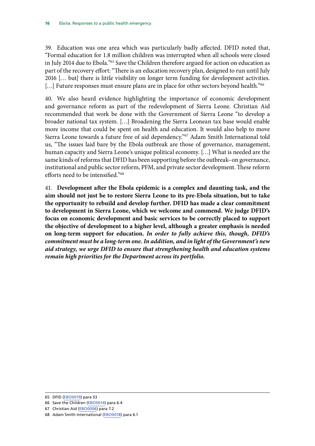39. Education was one area which was particularly badly affected. DFID noted that, "Formal education for 1.8 million children was interrupted when all schools were closed in July 2014 due to Ebola."65 Save the Children therefore argued for action on education as part of the recovery effort: "There is an education recovery plan, designed to run until July 2016 [… but] there is little visibility on longer term funding for development activities. [...] Future responses must ensure plans are in place for other sectors beyond health."<sup>66</sup>

40. We also heard evidence highlighting the importance of economic development and governance reform as part of the redevelopment of Sierra Leone. Christian Aid recommended that work be done with the Government of Sierra Leone "to develop a broader national tax system. […] Broadening the Sierra Leonean tax base would enable more income that could be spent on health and education. It would also help to move Sierra Leone towards a future free of aid dependency."67 Adam Smith International told us, "The issues laid bare by the Ebola outbreak are those of governance, management, human capacity and Sierra Leone's unique political economy. […] What is needed are the same kinds of reforms that DFID has been supporting before the outbreak–on governance, institutional and public sector reform, PFM, and private sector development. These reform efforts need to be intensified."68

41. **Development after the Ebola epidemic is a complex and daunting task, and the aim should not just be to restore Sierra Leone to its pre-Ebola situation, but to take the opportunity to rebuild and develop further. DFID has made a clear commitment to development in Sierra Leone, which we welcome and commend. We judge DFID's focus on economic development and basic services to be correctly placed to support the objective of development to a higher level, although a greater emphasis is needed on long-term support for education.** *In order to fully achieve this, though, DFID's commitment must be a long-term one. In addition, and in light of the Government's new aid strategy, we urge DFID to ensure that strengthening health and education systems remain high priorities for the Department across its portfolio.* 

<sup>65</sup> DFID ([EBO0019\)](http://data.parliament.uk/writtenevidence/committeeevidence.svc/evidencedocument/international-development-committee/ebola-responses-to-a-public-health-emergency/written/21667.pdf) para 53

<sup>66</sup> Save the Children [\(EBO0014\)](http://data.parliament.uk/writtenevidence/committeeevidence.svc/evidencedocument/international-development-committee/ebola-responses-to-a-public-health-emergency/written/21650.pdf) para 6.4

<sup>67</sup> Christian Aid ([EBO0006\)](http://data.parliament.uk/writtenevidence/committeeevidence.svc/evidencedocument/international-development-committee/ebola-responses-to-a-public-health-emergency/written/21608.pdf) para 7.2

<sup>68</sup> Adam Smith International [\(EBO0018](http://data.parliament.uk/writtenevidence/committeeevidence.svc/evidencedocument/international-development-committee/ebola-responses-to-a-public-health-emergency/written/21659.pdf)) para 6.1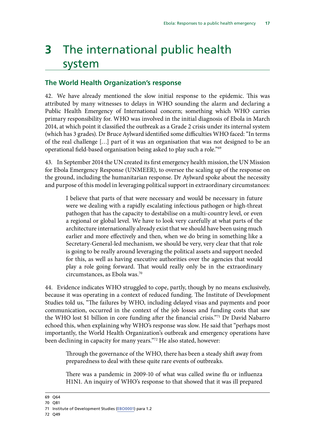# <span id="page-20-0"></span>**3** The international public health system

#### **The World Health Organization's response**

42. We have already mentioned the slow initial response to the epidemic. This was attributed by many witnesses to delays in WHO sounding the alarm and declaring a Public Health Emergency of International concern; something which WHO carries primary responsibility for. WHO was involved in the initial diagnosis of Ebola in March 2014, at which point it classified the outbreak as a Grade 2 crisis under its internal system (which has 3 grades). Dr Bruce Aylward identified some difficulties WHO faced: "In terms of the real challenge […] part of it was an organisation that was not designed to be an operational field-based organisation being asked to play such a role."69

43. In September 2014 the UN created its first emergency health mission, the UN Mission for Ebola Emergency Response (UNMEER), to oversee the scaling up of the response on the ground, including the humanitarian response. Dr Aylward spoke about the necessity and purpose of this model in leveraging political support in extraordinary circumstances:

I believe that parts of that were necessary and would be necessary in future were we dealing with a rapidly escalating infectious pathogen or high-threat pathogen that has the capacity to destabilise on a multi-country level, or even a regional or global level. We have to look very carefully at what parts of the architecture internationally already exist that we should have been using much earlier and more effectively and then, when we do bring in something like a Secretary-General-led mechanism, we should be very, very clear that that role is going to be really around leveraging the political assets and support needed for this, as well as having executive authorities over the agencies that would play a role going forward. That would really only be in the extraordinary circumstances, as Ebola was.70

44. Evidence indicates WHO struggled to cope, partly, though by no means exclusively, because it was operating in a context of reduced funding. The Institute of Development Studies told us, "The failures by WHO, including delayed visas and payments and poor communication, occurred in the context of the job losses and funding costs that saw the WHO lost \$1 billion in core funding after the financial crisis."71 Dr David Nabarro echoed this, when explaining why WHO's response was slow. He said that "perhaps most importantly, the World Health Organization's outbreak and emergency operations have been declining in capacity for many years."72 He also stated, however:

Through the governance of the WHO, there has been a steady shift away from preparedness to deal with these quite rare events of outbreaks.

There was a pandemic in 2009-10 of what was called swine flu or influenza H1N1. An inquiry of WHO's response to that showed that it was ill prepared

69 Q64

72 Q49

<sup>70</sup> Q81

<sup>71</sup> Institute of Development Studies ([EBO0001](http://data.parliament.uk/writtenevidence/committeeevidence.svc/evidencedocument/international-development-committee/ebola-responses-to-a-public-health-emergency/written/21202.pdf)) para 1.2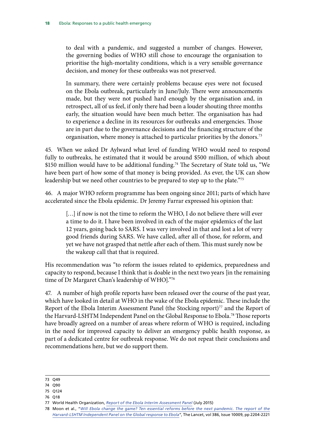to deal with a pandemic, and suggested a number of changes. However, the governing bodies of WHO still chose to encourage the organisation to prioritise the high-mortality conditions, which is a very sensible governance decision, and money for these outbreaks was not preserved.

In summary, there were certainly problems because eyes were not focused on the Ebola outbreak, particularly in June/July. There were announcements made, but they were not pushed hard enough by the organisation and, in retrospect, all of us feel, if only there had been a louder shouting three months early, the situation would have been much better. The organisation has had to experience a decline in its resources for outbreaks and emergencies. Those are in part due to the governance decisions and the financing structure of the organisation, where money is attached to particular priorities by the donors.<sup>73</sup>

45. When we asked Dr Aylward what level of funding WHO would need to respond fully to outbreaks, he estimated that it would be around \$500 million, of which about \$150 million would have to be additional funding.<sup>74</sup> The Secretary of State told us, "We have been part of how some of that money is being provided. As ever, the UK can show leadership but we need other countries to be prepared to step up to the plate."<sup>75</sup>

46. A major WHO reform programme has been ongoing since 2011; parts of which have accelerated since the Ebola epidemic. Dr Jeremy Farrar expressed his opinion that:

[...] if now is not the time to reform the WHO, I do not believe there will ever a time to do it. I have been involved in each of the major epidemics of the last 12 years, going back to SARS. I was very involved in that and lost a lot of very good friends during SARS. We have called, after all of those, for reform, and yet we have not grasped that nettle after each of them. This must surely now be the wakeup call that that is required.

His recommendation was "to reform the issues related to epidemics, preparedness and capacity to respond, because I think that is doable in the next two years [in the remaining time of Dr Margaret Chan's leadership of WHO]."76

47. A number of high profile reports have been released over the course of the past year, which have looked in detail at WHO in the wake of the Ebola epidemic. These include the Report of the Ebola Interim Assessment Panel (the Stocking report)<sup>77</sup> and the Report of the Harvard-LSHTM Independent Panel on the Global Response to Ebola.<sup>78</sup> Those reports have broadly agreed on a number of areas where reform of WHO is required, including in the need for improved capacity to deliver an emergency public health response, as part of a dedicated centre for outbreak response. We do not repeat their conclusions and recommendations here, but we do support them.

<sup>73</sup> Q49

<sup>74</sup> Q90

<sup>75</sup> Q124

<sup>76</sup> Q18

<sup>77</sup> World Health Organization, *[Report of the Ebola Interim Assessment Panel](http://www.who.int/entity/csr/resources/publications/ebola/report-by-panel.pdf?ua=1)* (July 2015)

<sup>78</sup> Moon et al., "*[Will Ebola change the game? Ten essential reforms before the next pandemic. The report of the](http://www.thelancet.com/journals/lancet/article/PIIS0140-6736(15)00946-0/fulltext) [Harvard-LSHTM Independent Panel on the Global response to Ebola](http://www.thelancet.com/journals/lancet/article/PIIS0140-6736(15)00946-0/fulltext)*", The Lancet, vol 386, Issue 10009, pp 2204-2221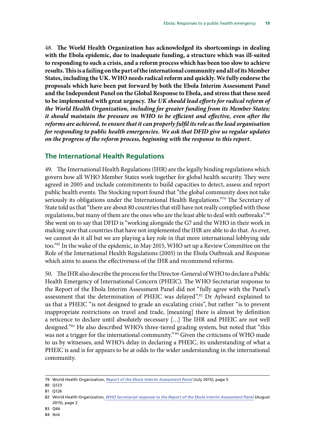<span id="page-22-0"></span>48. **The World Health Organization has acknowledged its shortcomings in dealing with the Ebola epidemic, due to inadequate funding, a structure which was ill-suited to responding to such a crisis, and a reform process which has been too slow to achieve results. This is a failing on the part of the international community and all of its Member States, including the UK. WHO needs radical reform and quickly. We fully endorse the proposals which have been put forward by both the Ebola Interim Assessment Panel and the Independent Panel on the Global Response to Ebola, and stress that these need to be implemented with great urgency.** *The UK should lead efforts for radical reform of the World Health Organization, including for greater funding from its Member States; it should maintain the pressure on WHO to be efficient and effective, even after the reforms are achieved, to ensure that it can properly fulfil its role as the lead organisation for responding to public health emergencies. We ask that DFID give us regular updates on the progress of the reform process, beginning with the response to this report.* 

#### **The International Health Regulations**

49. The International Health Regulations (IHR) are the legally binding regulations which govern how all WHO Member States work together for global health security. They were agreed in 2005 and include commitments to build capacities to detect, assess and report public health events. The Stocking report found that "the global community does not take seriously its obligations under the International Health Regulations."<sup>79</sup> The Secretary of State told us that "there are about 80 countries that still have not really complied with those regulations, but many of them are the ones who are the least able to deal with outbreaks".<sup>80</sup> She went on to say that DFID is "working alongside the G7 and the WHO in their work in making sure that countries that have not implemented the IHR are able to do that. As ever, we cannot do it all but we are playing a key role in that more international lobbying side too."81 In the wake of the epidemic, in May 2015, WHO set up a Review Committee on the Role of the International Health Regulations (2005) in the Ebola Outbreak and Response which aims to assess the effectiveness of the IHR and recommend reforms.

50. The IHR also describe the process for the Director-General of WHO to declare a Public Health Emergency of International Concern (PHEIC). The WHO Secretariat response to the Report of the Ebola Interim Assessment Panel did not "fully agree with the Panel's assessment that the determination of PHEIC was delayed".82 Dr Aylward explained to us that a PHEIC "is not designed to grade an escalating crisis", but rather "is to prevent inappropriate restrictions on travel and trade, [meaning] there is almost by definition a reticence to declare until absolutely necessary […] The IHR and PHEIC are not well designed."83 He also described WHO's three-tiered grading system, but noted that "this was not a trigger for the international community." <sup>84</sup> Given the criticisms of WHO made to us by witnesses, and WHO's delay in declaring a PHEIC, its understanding of what a PHEIC is and is for appears to be at odds to the wider understanding in the international community.

83 Q66

<sup>79</sup> World Health Organization, *[Report of the Ebola Interim Assessment Panel](http://www.who.int/entity/csr/resources/publications/ebola/report-by-panel.pdf?ua=1)* (July 2015), page 5

<sup>80</sup> Q123

<sup>81</sup> Q126

<sup>82</sup> World Health Organization, *[WHO Secretariat response to the Report of the Ebola Interim Assessment Panel](http://www.who.int/csr/resources/publications/ebola/who-response-to-ebola-report.pdf)* (August 2015), page 2

<sup>84</sup> Ibid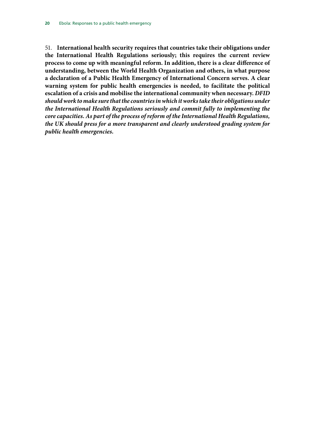51. **International health security requires that countries take their obligations under the International Health Regulations seriously; this requires the current review process to come up with meaningful reform. In addition, there is a clear difference of understanding, between the World Health Organization and others, in what purpose a declaration of a Public Health Emergency of International Concern serves. A clear warning system for public health emergencies is needed, to facilitate the political escalation of a crisis and mobilise the international community when necessary.** *DFID should work to make sure that the countries in which it works take their obligations under the International Health Regulations seriously and commit fully to implementing the core capacities. As part of the process of reform of the International Health Regulations, the UK should press for a more transparent and clearly understood grading system for public health emergencies.*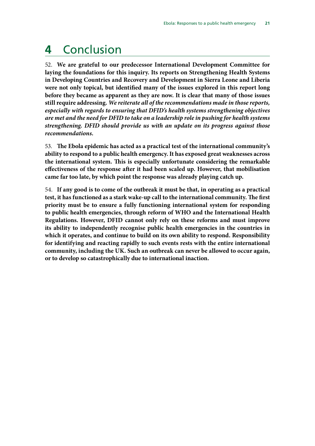# <span id="page-24-0"></span>**4** Conclusion

52. **We are grateful to our predecessor International Development Committee for laying the foundations for this inquiry. Its reports on Strengthening Health Systems in Developing Countries and Recovery and Development in Sierra Leone and Liberia were not only topical, but identified many of the issues explored in this report long before they became as apparent as they are now. It is clear that many of those issues still require addressing.** *We reiterate all of the recommendations made in those reports, especially with regards to ensuring that DFID's health systems strengthening objectives are met and the need for DFID to take on a leadership role in pushing for health systems strengthening. DFID should provide us with an update on its progress against those recommendations.* 

53. **The Ebola epidemic has acted as a practical test of the international community's ability to respond to a public health emergency. It has exposed great weaknesses across the international system. This is especially unfortunate considering the remarkable effectiveness of the response after it had been scaled up. However, that mobilisation came far too late, by which point the response was already playing catch up.** 

54. **If any good is to come of the outbreak it must be that, in operating as a practical test, it has functioned as a stark wake-up call to the international community. The first priority must be to ensure a fully functioning international system for responding to public health emergencies, through reform of WHO and the International Health Regulations. However, DFID cannot only rely on these reforms and must improve its ability to independently recognise public health emergencies in the countries in which it operates, and continue to build on its own ability to respond. Responsibility for identifying and reacting rapidly to such events rests with the entire international community, including the UK. Such an outbreak can never be allowed to occur again, or to develop so catastrophically due to international inaction.**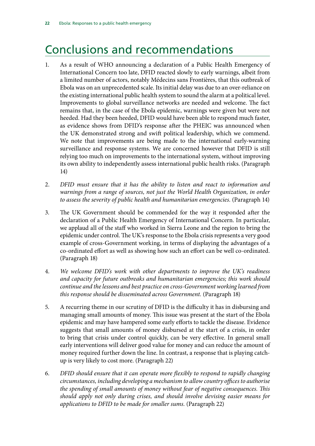# <span id="page-25-0"></span>Conclusions and recommendations

1. As a result of WHO announcing a declaration of a Public Health Emergency of International Concern too late, DFID reacted slowly to early warnings, albeit from a limited number of actors, notably Médecins sans Frontières, that this outbreak of Ebola was on an unprecedented scale. Its initial delay was due to an over-reliance on the existing international public health system to sound the alarm at a political level. Improvements to global surveillance networks are needed and welcome. The fact remains that, in the case of the Ebola epidemic, warnings were given but were not heeded. Had they been heeded, DFID would have been able to respond much faster, as evidence shows from DFID's response after the PHEIC was announced when the UK demonstrated strong and swift political leadership, which we commend. We note that improvements are being made to the international early-warning surveillance and response systems. We are concerned however that DFID is still relying too much on improvements to the international system, without improving its own ability to independently assess international public health risks. (Paragraph 14)

- 2. *DFID must ensure that it has the ability to listen and react to information and*  warnings from a range of sources, not just the World Health Organization, in order *to assess the severity of public health and humanitarian emergencies.* (Paragraph 14)
- 3. The UK Government should be commended for the way it responded after the declaration of a Public Health Emergency of International Concern. In particular, we applaud all of the staff who worked in Sierra Leone and the region to bring the epidemic under control. The UK's response to the Ebola crisis represents a very good example of cross-Government working, in terms of displaying the advantages of a co-ordinated effort as well as showing how such an effort can be well co-ordinated. (Paragraph 18)
- 4. *We welcome DFID's work with other departments to improve the UK's readiness and capacity for future outbreaks and humanitarian emergencies; this work should continue and the lessons and best practice on cross-Government working learned from this response should be disseminated across Government.* (Paragraph 18)
- 5. A recurring theme in our scrutiny of DFID is the difficulty it has in disbursing and managing small amounts of money. This issue was present at the start of the Ebola epidemic and may have hampered some early efforts to tackle the disease. Evidence suggests that small amounts of money disbursed at the start of a crisis, in order to bring that crisis under control quickly, can be very effective. In general small early interventions will deliver good value for money and can reduce the amount of money required further down the line. In contrast, a response that is playing catchup is very likely to cost more. (Paragraph 22)
- 6. *DFID should ensure that it can operate more flexibly to respond to rapidly changing circumstances, including developing a mechanism to allow country offices to authorise the spending of small amounts of money without fear of negative consequences. This should apply not only during crises, and should involve devising easier means for applications to DFID to be made for smaller sums.* (Paragraph 22)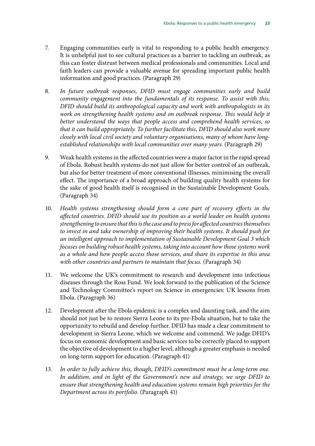- 7. Engaging communities early is vital to responding to a public health emergency. It is unhelpful just to see cultural practices as a barrier to tackling an outbreak, as this can foster distrust between medical professionals and communities. Local and faith leaders can provide a valuable avenue for spreading important public health information and good practices. (Paragraph 29)
- 8. *In future outbreak responses, DFID must engage communities early and build community engagement into the fundamentals of its response. To assist with this, DFID should build its anthropological capacity and work with anthropologists in its work on strengthening health systems and on outbreak response. This would help it better understand the ways that people access and comprehend health services, so that it can build appropriately. To further facilitate this, DFID should also work more closely with local civil society and voluntary organisations, many of whom have longestablished relationships with local communities over many years*. (Paragraph 29)
- 9. Weak health systems in the affected countries were a major factor in the rapid spread of Ebola. Robust health systems do not just allow for better control of an outbreak, but also for better treatment of more conventional illnesses, minimising the overall effect. The importance of a broad approach of building quality health systems for the sake of good health itself is recognised in the Sustainable Development Goals. (Paragraph 34)
- 10. Health systems strengthening should form a core part of recovery efforts in the *affected countries. DFID should use its position as a world leader on health systems strengthening to ensure that this is the case and to press for affected countries themselves to invest in and take ownership of improving their health systems. It should push for an intelligent approach to implementation of Sustainable Development Goal 3 which focuses on building robust health systems, taking into account how those systems work as a whole and how people access those services, and share its expertise in this area*  with other countries and partners to maintain that focus. (Paragraph 34)
- 11. We welcome the UK's commitment to research and development into infectious diseases through the Ross Fund. We look forward to the publication of the Science and Technology Committee's report on Science in emergencies: UK lessons from Ebola. (Paragraph 36)
- 12. Development after the Ebola epidemic is a complex and daunting task, and the aim should not just be to restore Sierra Leone to its pre-Ebola situation, but to take the opportunity to rebuild and develop further. DFID has made a clear commitment to development in Sierra Leone, which we welcome and commend. We judge DFID's focus on economic development and basic services to be correctly placed to support the objective of development to a higher level, although a greater emphasis is needed on long-term support for education. (Paragraph 41)
- 13. In order to fully achieve this, though, DFID's commitment must be a long-term one. *In addition, and in light of the Government's new aid strategy, we urge DFID to ensure that strengthening health and education systems remain high priorities for the Department across its portfolio.* (Paragraph 41)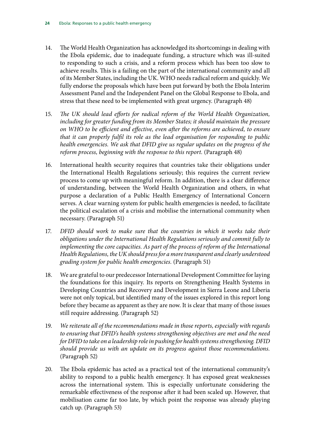- 14. The World Health Organization has acknowledged its shortcomings in dealing with the Ebola epidemic, due to inadequate funding, a structure which was ill-suited to responding to such a crisis, and a reform process which has been too slow to achieve results. This is a failing on the part of the international community and all of its Member States, including the UK. WHO needs radical reform and quickly. We fully endorse the proposals which have been put forward by both the Ebola Interim Assessment Panel and the Independent Panel on the Global Response to Ebola, and stress that these need to be implemented with great urgency. (Paragraph 48)
- 15. *The UK should lead efforts for radical reform of the World Health Organization, including for greater funding from its Member States; it should maintain the pressure on WHO to be efficient and effective, even after the reforms are achieved, to ensure that it can properly fulfil its role as the lead organisation for responding to public health emergencies. We ask that DFID give us regular updates on the progress of the reform process, beginning with the response to this report.* (Paragraph 48)
- 16. International health security requires that countries take their obligations under the International Health Regulations seriously; this requires the current review process to come up with meaningful reform. In addition, there is a clear difference of understanding, between the World Health Organization and others, in what purpose a declaration of a Public Health Emergency of International Concern serves. A clear warning system for public health emergencies is needed, to facilitate the political escalation of a crisis and mobilise the international community when necessary. (Paragraph 51)
- 17. DFID should work to make sure that the countries in which it works take their *obligations under the International Health Regulations seriously and commit fully to*  implementing the core capacities. As part of the process of reform of the International *Health Regulations, the UK should press for a more transparent and clearly understood grading system for public health emergencies.* (Paragraph 51)
- 18. We are grateful to our predecessor International Development Committee for laying the foundations for this inquiry. Its reports on Strengthening Health Systems in Developing Countries and Recovery and Development in Sierra Leone and Liberia were not only topical, but identified many of the issues explored in this report long before they became as apparent as they are now. It is clear that many of those issues still require addressing. (Paragraph 52)
- 19. *We reiterate all of the recommendations made in those reports, especially with regards to ensuring that DFID's health systems strengthening objectives are met and the need for DFID to take on a leadership role in pushing for health systems strengthening. DFID should provide us with an update on its progress against those recommendations.*  (Paragraph 52)
- 20. The Ebola epidemic has acted as a practical test of the international community's ability to respond to a public health emergency. It has exposed great weaknesses across the international system. This is especially unfortunate considering the remarkable effectiveness of the response after it had been scaled up. However, that mobilisation came far too late, by which point the response was already playing catch up. (Paragraph 53)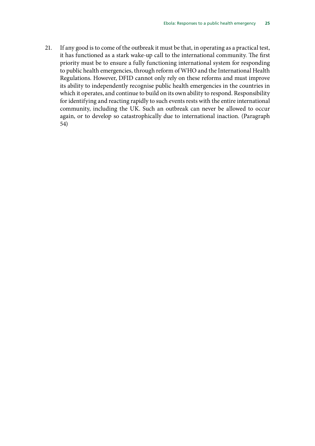21. If any good is to come of the outbreak it must be that, in operating as a practical test, it has functioned as a stark wake-up call to the international community. The first priority must be to ensure a fully functioning international system for responding to public health emergencies, through reform of WHO and the International Health Regulations. However, DFID cannot only rely on these reforms and must improve its ability to independently recognise public health emergencies in the countries in which it operates, and continue to build on its own ability to respond. Responsibility for identifying and reacting rapidly to such events rests with the entire international community, including the UK. Such an outbreak can never be allowed to occur again, or to develop so catastrophically due to international inaction. (Paragraph 54)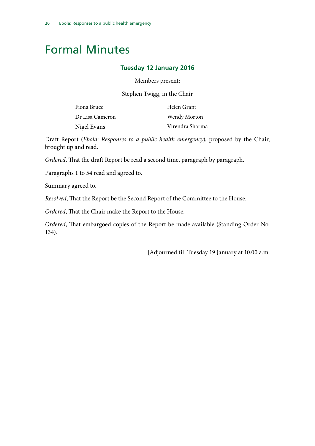### <span id="page-29-0"></span>Formal Minutes

#### **Tuesday 12 January 2016**

Members present:

Stephen Twigg, in the Chair

| Fiona Bruce     | Helen Grant     |
|-----------------|-----------------|
| Dr Lisa Cameron | Wendy Morton    |
| Nigel Evans     | Virendra Sharma |

Draft Report (*Ebola: Responses to a public health emergency*), proposed by the Chair, brought up and read.

*Ordered*, That the draft Report be read a second time, paragraph by paragraph.

Paragraphs 1 to 54 read and agreed to.

Summary agreed to.

*Resolved*, That the Report be the Second Report of the Committee to the House.

*Ordered*, That the Chair make the Report to the House.

*Ordered*, That embargoed copies of the Report be made available (Standing Order No. 134).

[Adjourned till Tuesday 19 January at 10.00 a.m.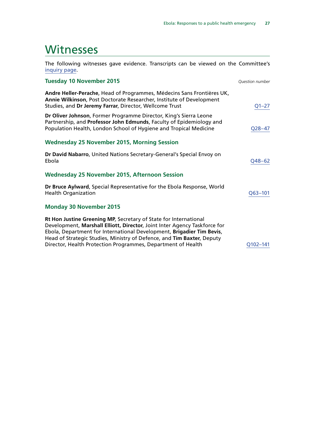### <span id="page-30-0"></span>**Witnesses**

The following witnesses gave evidence. Transcripts can be viewed on the Committee's [inquiry page](http://www.parliament.uk/business/committees/committees-a-z/commons-select/international-development-committee/inquiries/parliament-2015/follow-up-to-the-responses-to-the-ebola-crisis/).

| <b>Tuesday 10 November 2015</b>                                                                                                                                                                                                                                                                                                                                  | Question number |
|------------------------------------------------------------------------------------------------------------------------------------------------------------------------------------------------------------------------------------------------------------------------------------------------------------------------------------------------------------------|-----------------|
| Andre Heller-Perache, Head of Programmes, Médecins Sans Frontières UK,<br>Annie Wilkinson, Post Doctorate Researcher, Institute of Development<br>Studies, and Dr Jeremy Farrar, Director, Wellcome Trust                                                                                                                                                        | $Q1 - 27$       |
| Dr Oliver Johnson, Former Programme Director, King's Sierra Leone<br>Partnership, and Professor John Edmunds, Faculty of Epidemiology and<br>Population Health, London School of Hygiene and Tropical Medicine                                                                                                                                                   | $Q28 - 47$      |
| <b>Wednesday 25 November 2015, Morning Session</b>                                                                                                                                                                                                                                                                                                               |                 |
| Dr David Nabarro, United Nations Secretary-General's Special Envoy on<br>Ebola                                                                                                                                                                                                                                                                                   | Q48-62          |
| <b>Wednesday 25 November 2015, Afternoon Session</b>                                                                                                                                                                                                                                                                                                             |                 |
| Dr Bruce Aylward, Special Representative for the Ebola Response, World<br><b>Health Organization</b>                                                                                                                                                                                                                                                             | $Q63 - 101$     |
| <b>Monday 30 November 2015</b>                                                                                                                                                                                                                                                                                                                                   |                 |
| Rt Hon Justine Greening MP, Secretary of State for International<br>Development, Marshall Elliott, Director, Joint Inter Agency Taskforce for<br>Ebola, Department for International Development, Brigadier Tim Bevis,<br>Head of Strategic Studies, Ministry of Defence, and Tim Baxter, Deputy<br>Director, Health Protection Programmes, Department of Health | Q102-141        |
|                                                                                                                                                                                                                                                                                                                                                                  |                 |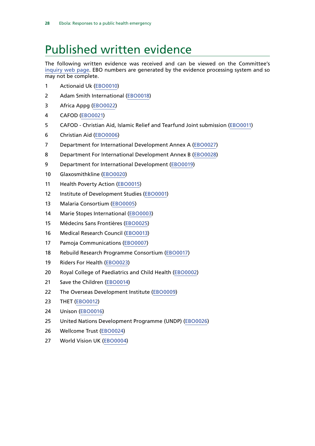# <span id="page-31-0"></span>Published written evidence

The following written evidence was received and can be viewed on the Committee's [inquiry web page.](http://www.parliament.uk/business/committees/committees-a-z/commons-select/international-development-committee/inquiries/parliament-2015/follow-up-to-the-responses-to-the-ebola-crisis/) EBO numbers are generated by the evidence processing system and so may not be complete.

- 1 Actionaid Uk [\(EBO0010\)](http://data.parliament.uk/WrittenEvidence/CommitteeEvidence.svc/EvidenceDocument/International%20Development/Ebola%20Responses%20to%20a%20public%20health%20emergency/written/21630.html)
- 2 Adam Smith International ([EBO0018](http://data.parliament.uk/WrittenEvidence/CommitteeEvidence.svc/EvidenceDocument/International%20Development/Ebola%20Responses%20to%20a%20public%20health%20emergency/written/21659.html))
- 3 Africa Appg ([EBO0022\)](http://data.parliament.uk/WrittenEvidence/CommitteeEvidence.svc/EvidenceDocument/International%20Development/Ebola%20Responses%20to%20a%20public%20health%20emergency/written/21838.html)
- 4 CAFOD [\(EBO0021\)](http://data.parliament.uk/WrittenEvidence/CommitteeEvidence.svc/EvidenceDocument/International%20Development/Ebola%20Responses%20to%20a%20public%20health%20emergency/written/21785.html)
- 5 CAFOD Christian Aid, Islamic Relief and Tearfund Joint submission [\(EBO0011\)](http://data.parliament.uk/WrittenEvidence/CommitteeEvidence.svc/EvidenceDocument/International%20Development/Ebola%20Responses%20to%20a%20public%20health%20emergency/written/21633.html)
- 6 Christian Aid ([EBO0006](http://data.parliament.uk/WrittenEvidence/CommitteeEvidence.svc/EvidenceDocument/International%20Development/Ebola%20Responses%20to%20a%20public%20health%20emergency/written/21608.html))
- 7 Department for International Development Annex A ([EBO0027\)](http://data.parliament.uk/writtenevidence/committeeevidence.svc/evidencedocument/international-development-committee/ebola-responses-to-a-public-health-emergency/written/26465.html)
- 8 Department For International Development Annex B ([EBO0028\)](http://data.parliament.uk/writtenevidence/committeeevidence.svc/evidencedocument/international-development-committee/ebola-responses-to-a-public-health-emergency/written/26609.html)
- 9 Department for International Development ([EBO0019\)](http://data.parliament.uk/WrittenEvidence/CommitteeEvidence.svc/EvidenceDocument/International%20Development/Ebola%20Responses%20to%20a%20public%20health%20emergency/written/21667.html)
- 10 Glaxosmithkline ([EBO0020\)](http://data.parliament.uk/WrittenEvidence/CommitteeEvidence.svc/EvidenceDocument/International%20Development/Ebola%20Responses%20to%20a%20public%20health%20emergency/written/21710.html)
- 11 Health Poverty Action ([EBO0015](http://data.parliament.uk/WrittenEvidence/CommitteeEvidence.svc/EvidenceDocument/International%20Development/Ebola%20Responses%20to%20a%20public%20health%20emergency/written/21652.html))
- 12 Institute of Development Studies ([EBO0001](http://data.parliament.uk/WrittenEvidence/CommitteeEvidence.svc/EvidenceDocument/International%20Development/Ebola%20Responses%20to%20a%20public%20health%20emergency/written/21202.html))
- 13 Malaria Consortium [\(EBO0005\)](http://data.parliament.uk/WrittenEvidence/CommitteeEvidence.svc/EvidenceDocument/International%20Development/Ebola%20Responses%20to%20a%20public%20health%20emergency/written/21585.html)
- 14 Marie Stopes International [\(EBO0003](http://data.parliament.uk/WrittenEvidence/CommitteeEvidence.svc/EvidenceDocument/International%20Development/Ebola%20Responses%20to%20a%20public%20health%20emergency/written/21580.html))
- 15 Médecins Sans Frontières ([EBO0025\)](http://data.parliament.uk/WrittenEvidence/CommitteeEvidence.svc/EvidenceDocument/International%20Development/Ebola%20Responses%20to%20a%20public%20health%20emergency/written/23409.html)
- 16 Medical Research Council ([EBO0013](http://data.parliament.uk/WrittenEvidence/CommitteeEvidence.svc/EvidenceDocument/International%20Development/Ebola%20Responses%20to%20a%20public%20health%20emergency/written/21649.html))
- 17 Pamoja Communications ([EBO0007](http://data.parliament.uk/WrittenEvidence/CommitteeEvidence.svc/EvidenceDocument/International%20Development/Ebola%20Responses%20to%20a%20public%20health%20emergency/written/21611.html))
- 18 Rebuild Research Programme Consortium ([EBO0017](http://data.parliament.uk/WrittenEvidence/CommitteeEvidence.svc/EvidenceDocument/International%20Development/Ebola%20Responses%20to%20a%20public%20health%20emergency/written/21657.html))
- 19 Riders For Health [\(EBO0023](http://data.parliament.uk/WrittenEvidence/CommitteeEvidence.svc/EvidenceDocument/International%20Development/Ebola%20Responses%20to%20a%20public%20health%20emergency/written/21916.html))
- 20 Royal College of Paediatrics and Child Health ([EBO0002](http://data.parliament.uk/WrittenEvidence/CommitteeEvidence.svc/EvidenceDocument/International%20Development/Ebola%20Responses%20to%20a%20public%20health%20emergency/written/21494.html))
- 21 Save the Children [\(EBO0014\)](http://data.parliament.uk/WrittenEvidence/CommitteeEvidence.svc/EvidenceDocument/International%20Development/Ebola%20Responses%20to%20a%20public%20health%20emergency/written/21650.html)
- 22 The Overseas Development Institute [\(EBO0009\)](http://data.parliament.uk/WrittenEvidence/CommitteeEvidence.svc/EvidenceDocument/International%20Development/Ebola%20Responses%20to%20a%20public%20health%20emergency/written/21613.html)
- 23 THET ([EBO0012\)](http://data.parliament.uk/WrittenEvidence/CommitteeEvidence.svc/EvidenceDocument/International%20Development/Ebola%20Responses%20to%20a%20public%20health%20emergency/written/21634.html)
- 24 Unison ([EBO0016](http://data.parliament.uk/WrittenEvidence/CommitteeEvidence.svc/EvidenceDocument/International%20Development/Ebola%20Responses%20to%20a%20public%20health%20emergency/written/21655.html))
- 25 United Nations Development Programme (UNDP) ([EBO0026\)](http://data.parliament.uk/WrittenEvidence/CommitteeEvidence.svc/EvidenceDocument/International%20Development/Ebola%20Responses%20to%20a%20public%20health%20emergency/written/25724.html)
- 26 Wellcome Trust [\(EBO0024](http://data.parliament.uk/WrittenEvidence/CommitteeEvidence.svc/EvidenceDocument/International%20Development/Ebola%20Responses%20to%20a%20public%20health%20emergency/written/22898.html))
- 27 World Vision UK [\(EBO0004\)](http://data.parliament.uk/WrittenEvidence/CommitteeEvidence.svc/EvidenceDocument/International%20Development/Ebola%20Responses%20to%20a%20public%20health%20emergency/written/21582.html)